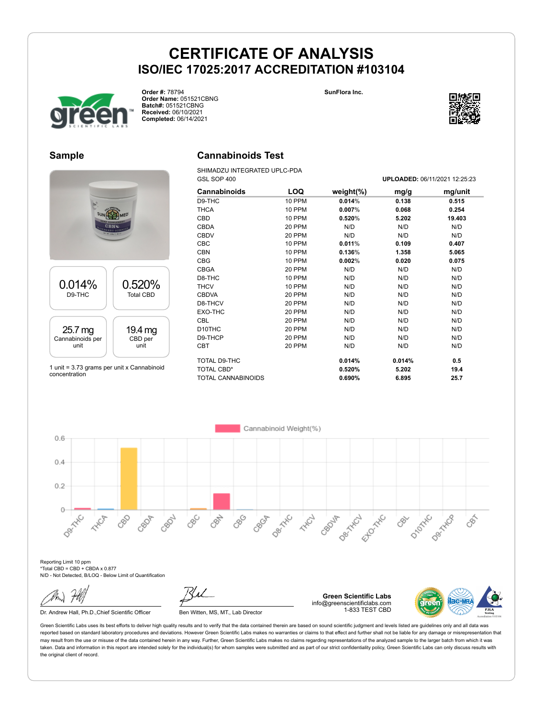



**Order #:** 78794 **Order Name:** 051521CBNG **Batch#:** 051521CBNG **Received:** 06/10/2021 **Completed:** 06/14/2021



#### **Sample**



1 unit = 3.73 grams per unit x Cannabinoid concentration

### **Cannabinoids Test**

SHIMADZU INTEGRATED UPLC-PDA GSL SOP 400 **UPLOADED:** 06/11/2021 12:25:23

| Cannabinoids              | LOQ    | weight $(\%)$ | mg/g   | mg/unit |
|---------------------------|--------|---------------|--------|---------|
| D9-THC                    | 10 PPM | 0.014%        | 0.138  | 0.515   |
| <b>THCA</b>               | 10 PPM | 0.007%        | 0.068  | 0.254   |
| CBD                       | 10 PPM | 0.520%        | 5.202  | 19.403  |
| <b>CBDA</b>               | 20 PPM | N/D           | N/D    | N/D     |
| <b>CBDV</b>               | 20 PPM | N/D           | N/D    | N/D     |
| CBC                       | 10 PPM | 0.011%        | 0.109  | 0.407   |
| <b>CBN</b>                | 10 PPM | 0.136%        | 1.358  | 5.065   |
| <b>CBG</b>                | 10 PPM | 0.002%        | 0.020  | 0.075   |
| <b>CBGA</b>               | 20 PPM | N/D           | N/D    | N/D     |
| D8-THC                    | 10 PPM | N/D           | N/D    | N/D     |
| <b>THCV</b>               | 10 PPM | N/D           | N/D    | N/D     |
| <b>CBDVA</b>              | 20 PPM | N/D           | N/D    | N/D     |
| D8-THCV                   | 20 PPM | N/D           | N/D    | N/D     |
| EXO-THC                   | 20 PPM | N/D           | N/D    | N/D     |
| <b>CBL</b>                | 20 PPM | N/D           | N/D    | N/D     |
| D <sub>10</sub> THC       | 20 PPM | N/D           | N/D    | N/D     |
| D9-THCP                   | 20 PPM | N/D           | N/D    | N/D     |
| <b>CBT</b>                | 20 PPM | N/D           | N/D    | N/D     |
| TOTAL D9-THC              |        | 0.014%        | 0.014% | 0.5     |
| <b>TOTAL CBD*</b>         |        | 0.520%        | 5.202  | 19.4    |
| <b>TOTAL CANNABINOIDS</b> |        | 0.690%        | 6.895  | 25.7    |

Cannabinoid Weight(%)  $0.6$  $0.4$  $0.2$  $\circ$ Desired Desitive **Desimination** CBN 880 **HARCH** Ellowski D-Morte CBC CBGA CBOJA 大水炉 880 CBOP CROZIL Decky-C CBS  $\mathcal{S}^{\sim}$ 

Reporting Limit 10 ppm \*Total CBD = CBD + CBDA x 0.877 N/D - Not Detected, B/LOQ - Below Limit of Quantification

Dr. Andrew Hall, Ph.D., Chief Scientific Officer Ben Witten, MS, MT., Lab Director

**Green Scientific Labs** info@greenscientificlabs.com 1-833 TEST CBD

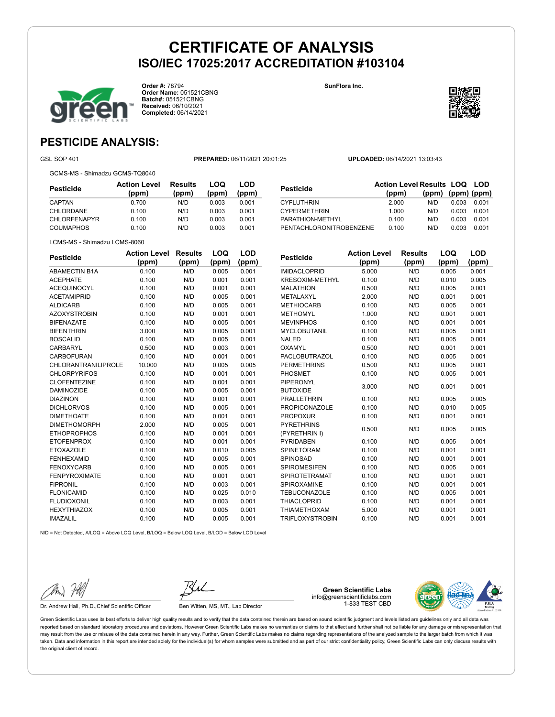

**Order #:** 78794 **Order Name:** 051521CBNG **Batch#:** 051521CBNG **Received:** 06/10/2021 **Completed:** 06/14/2021

**SunFlora Inc.**



### **PESTICIDE ANALYSIS:**

GSL SOP 401 **PREPARED:** 06/11/2021 20:01:25 **UPLOADED:** 06/14/2021 13:03:43

GCMS-MS - Shimadzu GCMS-TQ8040

**Pesticide Action Level (ppm) Results (ppm) LOQ (ppm) LOD (ppm)** CAPTAN 0.700 N/D 0.003 0.001 CHLORDANE 0.100 N/D 0.003 0.001 CHLORFENAPYR 0.100 N/D 0.003 0.001 COUMAPHOS 0.100 N/D 0.003 0.001

| <b>Pesticide</b>        | <b>Action Level Results LOQ LOD</b><br>(ppm) | $(ppm)$ (ppm) |       |       |
|-------------------------|----------------------------------------------|---------------|-------|-------|
| <b>CYFLUTHRIN</b>       | 2.000                                        | (ppm)<br>N/D  | 0.003 | 0.001 |
| <b>CYPERMETHRIN</b>     | 1.000                                        | N/D           | 0.003 | 0.001 |
| PARATHION-METHYL        | 0.100                                        | N/D           | 0.003 | 0.001 |
| PENTACHLORONITROBENZENE | 0.100                                        | N/D           | 0.003 | 0.001 |

| LCMS-MS - Shimadzu LCMS-8060 |  |
|------------------------------|--|

| <b>Pesticide</b>           | <b>Action Level</b> | <b>Results</b> | LOQ   | LOD   |
|----------------------------|---------------------|----------------|-------|-------|
|                            | (ppm)               | (ppm)          | (ppm) | (ppm) |
| <b>ABAMECTIN B1A</b>       | 0.100               | N/D            | 0.005 | 0.001 |
| <b>ACEPHATE</b>            | 0.100               | N/D            | 0.001 | 0.001 |
| <b>ACEQUINOCYL</b>         | 0.100               | N/D            | 0.001 | 0.001 |
| <b>ACETAMIPRID</b>         | 0.100               | N/D            | 0.005 | 0.001 |
| <b>ALDICARB</b>            | 0.100               | N/D            | 0.005 | 0.001 |
| <b>AZOXYSTROBIN</b>        | 0.100               | N/D            | 0.001 | 0.001 |
| <b>BIFENAZATE</b>          | 0.100               | N/D            | 0.005 | 0.001 |
| <b>BIFENTHRIN</b>          | 3.000               | N/D            | 0.005 | 0.001 |
| <b>BOSCALID</b>            | 0.100               | N/D            | 0.005 | 0.001 |
| CARBARYL                   | 0.500               | N/D            | 0.003 | 0.001 |
| CARBOFURAN                 | 0.100               | N/D            | 0.001 | 0.001 |
| <b>CHLORANTRANILIPROLE</b> | 10.000              | N/D            | 0.005 | 0.005 |
| <b>CHLORPYRIFOS</b>        | 0.100               | N/D            | 0.001 | 0.001 |
| <b>CLOFENTEZINE</b>        | 0.100               | N/D            | 0.001 | 0.001 |
| <b>DAMINOZIDE</b>          | 0.100               | N/D            | 0.005 | 0.001 |
| <b>DIAZINON</b>            | 0.100               | N/D            | 0.001 | 0.001 |
| <b>DICHLORVOS</b>          | 0.100               | N/D            | 0.005 | 0.001 |
| <b>DIMETHOATE</b>          | 0.100               | N/D            | 0.001 | 0.001 |
| <b>DIMETHOMORPH</b>        | 2.000               | N/D            | 0.005 | 0.001 |
| <b>ETHOPROPHOS</b>         | 0.100               | N/D            | 0.001 | 0.001 |
| <b>ETOFENPROX</b>          | 0.100               | N/D            | 0.001 | 0.001 |
| <b>ETOXAZOLE</b>           | 0.100               | N/D            | 0.010 | 0.005 |
| <b>FENHEXAMID</b>          | 0.100               | N/D            | 0.005 | 0.001 |
| <b>FENOXYCARB</b>          | 0.100               | N/D            | 0.005 | 0.001 |
| <b>FENPYROXIMATE</b>       | 0.100               | N/D            | 0.001 | 0.001 |
| <b>FIPRONIL</b>            | 0.100               | N/D            | 0.003 | 0.001 |
| <b>FLONICAMID</b>          | 0.100               | N/D            | 0.025 | 0.010 |
| <b>FLUDIOXONIL</b>         | 0.100               | N/D            | 0.003 | 0.001 |
| <b>HEXYTHIAZOX</b>         | 0.100               | N/D            | 0.005 | 0.001 |
| <b>IMAZALIL</b>            | 0.100               | N/D            | 0.005 | 0.001 |

| <b>Pesticide</b>       | <b>Action Level</b> | <b>Results</b> | LOQ   | LOD   |
|------------------------|---------------------|----------------|-------|-------|
|                        | (ppm)               | (ppm)          | (ppm) | (ppm) |
| <b>IMIDACLOPRID</b>    | 5.000               | N/D            | 0.005 | 0.001 |
| <b>KRESOXIM-METHYL</b> | 0.100               | N/D            | 0.010 | 0.005 |
| <b>MALATHION</b>       | 0.500               | N/D            | 0.005 | 0.001 |
| METALAXYL              | 2.000               | N/D            | 0.001 | 0.001 |
| <b>METHIOCARB</b>      | 0.100               | N/D            | 0.005 | 0.001 |
| <b>METHOMYL</b>        | 1.000               | N/D            | 0.001 | 0.001 |
| <b>MEVINPHOS</b>       | 0.100               | N/D            | 0.001 | 0.001 |
| <b>MYCLOBUTANIL</b>    | 0.100               | N/D            | 0.005 | 0.001 |
| <b>NALED</b>           | 0.100               | N/D            | 0.005 | 0.001 |
| <b>OXAMYL</b>          | 0.500               | N/D            | 0.001 | 0.001 |
| PACLOBUTRAZOL          | 0.100               | N/D            | 0.005 | 0.001 |
| <b>PERMETHRINS</b>     | 0.500               | N/D            | 0.005 | 0.001 |
| PHOSMET                | 0.100               | N/D            | 0.005 | 0.001 |
| PIPERONYL              |                     | N/D            | 0.001 |       |
| <b>BUTOXIDE</b>        | 3.000               |                |       | 0.001 |
| <b>PRALLETHRIN</b>     | 0.100               | N/D            | 0.005 | 0.005 |
| <b>PROPICONAZOLE</b>   | 0.100               | N/D            | 0.010 | 0.005 |
| <b>PROPOXUR</b>        | 0.100               | N/D            | 0.001 | 0.001 |
| <b>PYRETHRINS</b>      | 0.500               | N/D            | 0.005 | 0.005 |
| (PYRETHRIN I)          |                     |                |       |       |
| <b>PYRIDABEN</b>       | 0.100               | N/D            | 0.005 | 0.001 |
| <b>SPINETORAM</b>      | 0.100               | N/D            | 0.001 | 0.001 |
| <b>SPINOSAD</b>        | 0.100               | N/D            | 0.001 | 0.001 |
| <b>SPIROMESIFEN</b>    | 0.100               | N/D            | 0.005 | 0.001 |
| <b>SPIROTETRAMAT</b>   | 0.100               | N/D            | 0.001 | 0.001 |
| SPIROXAMINE            | 0.100               | N/D            | 0.001 | 0.001 |
| <b>TEBUCONAZOLE</b>    | 0.100               | N/D            | 0.005 | 0.001 |
| <b>THIACLOPRID</b>     | 0.100               | N/D            | 0.001 | 0.001 |
| <b>THIAMETHOXAM</b>    | 5.000               | N/D            | 0.001 | 0.001 |
| <b>TRIFLOXYSTROBIN</b> | 0.100               | N/D            | 0.001 | 0.001 |

N/D = Not Detected, A/LOQ = Above LOQ Level, B/LOQ = Below LOQ Level, B/LOD = Below LOD Level

Dr. Andrew Hall, Ph.D., Chief Scientific Officer Ben Witten, MS, MT., Lab Director

**Green Scientific Labs** info@greenscientificlabs.com 1-833 TEST CBD

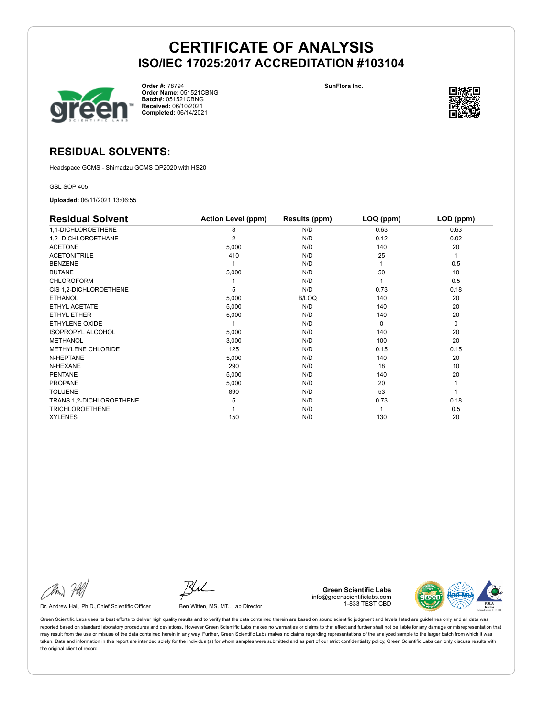

**Order #:** 78794 **Order Name:** 051521CBNG **Batch#:** 051521CBNG **Received:** 06/10/2021 **Completed:** 06/14/2021

**SunFlora Inc.**



### **RESIDUAL SOLVENTS:**

Headspace GCMS - Shimadzu GCMS QP2020 with HS20

GSL SOP 405

**Uploaded:** 06/11/2021 13:06:55

| <b>Residual Solvent</b>   | <b>Action Level (ppm)</b> | Results (ppm) | $LOQ$ (ppm) | LOD (ppm) |
|---------------------------|---------------------------|---------------|-------------|-----------|
| 1,1-DICHLOROETHENE        | 8                         | N/D           | 0.63        | 0.63      |
| 1,2- DICHLOROETHANE       | 2                         | N/D           | 0.12        | 0.02      |
| <b>ACETONE</b>            | 5,000                     | N/D           | 140         | 20        |
| <b>ACETONITRILE</b>       | 410                       | N/D           | 25          | 1         |
| <b>BENZENE</b>            |                           | N/D           |             | 0.5       |
| <b>BUTANE</b>             | 5,000                     | N/D           | 50          | 10        |
| <b>CHLOROFORM</b>         |                           | N/D           |             | 0.5       |
| CIS 1,2-DICHLOROETHENE    | 5                         | N/D           | 0.73        | 0.18      |
| <b>ETHANOL</b>            | 5,000                     | <b>B/LOQ</b>  | 140         | 20        |
| ETHYL ACETATE             | 5,000                     | N/D           | 140         | 20        |
| <b>ETHYL ETHER</b>        | 5,000                     | N/D           | 140         | 20        |
| <b>ETHYLENE OXIDE</b>     |                           | N/D           | $\Omega$    | 0         |
| <b>ISOPROPYL ALCOHOL</b>  | 5,000                     | N/D           | 140         | 20        |
| <b>METHANOL</b>           | 3,000                     | N/D           | 100         | 20        |
| <b>METHYLENE CHLORIDE</b> | 125                       | N/D           | 0.15        | 0.15      |
| N-HEPTANE                 | 5,000                     | N/D           | 140         | 20        |
| N-HEXANE                  | 290                       | N/D           | 18          | 10        |
| <b>PENTANE</b>            | 5,000                     | N/D           | 140         | 20        |
| <b>PROPANE</b>            | 5,000                     | N/D           | 20          |           |
| <b>TOLUENE</b>            | 890                       | N/D           | 53          |           |
| TRANS 1,2-DICHLOROETHENE  | 5                         | N/D           | 0.73        | 0.18      |
| <b>TRICHLOROETHENE</b>    |                           | N/D           |             | 0.5       |
| <b>XYLENES</b>            | 150                       | N/D           | 130         | 20        |

Dr. Andrew Hall, Ph.D., Chief Scientific Officer Ben Witten, MS, MT., Lab Director

**Green Scientific Labs** info@greenscientificlabs.com 1-833 TEST CBD

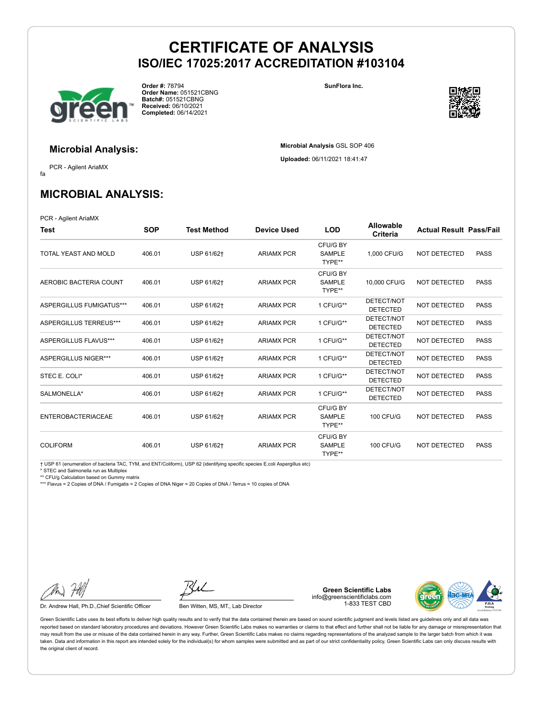

**Order #:** 78794 **Order Name:** 051521CBNG **Batch#:** 051521CBNG **Received:** 06/10/2021 **Completed:** 06/14/2021

**SunFlora Inc.**

**Microbial Analysis** GSL SOP 406 **Uploaded:** 06/11/2021 18:41:47



### **Microbial Analysis:**

fa PCR - Agilent AriaMX

## **MICROBIAL ANALYSIS:**

PCR - Agilent AriaMX

| Test                      | <b>SOP</b> | <b>Test Method</b> | <b>Device Used</b> | <b>LOD</b>                          | <b>Allowable</b><br>Criteria  | <b>Actual Result Pass/Fail</b> |             |
|---------------------------|------------|--------------------|--------------------|-------------------------------------|-------------------------------|--------------------------------|-------------|
| TOTAL YEAST AND MOLD      | 406.01     | USP 61/62+         | <b>ARIAMX PCR</b>  | CFU/G BY<br><b>SAMPLE</b><br>TYPE** | 1,000 CFU/G                   | <b>NOT DETECTED</b>            | <b>PASS</b> |
| AEROBIC BACTERIA COUNT    | 406.01     | USP 61/62+         | <b>ARIAMX PCR</b>  | CFU/G BY<br><b>SAMPLE</b><br>TYPE** | 10,000 CFU/G                  | <b>NOT DETECTED</b>            | <b>PASS</b> |
| ASPERGILLUS FUMIGATUS***  | 406.01     | USP 61/62+         | <b>ARIAMX PCR</b>  | 1 CFU/G**                           | DETECT/NOT<br><b>DETECTED</b> | <b>NOT DETECTED</b>            | <b>PASS</b> |
| ASPERGILLUS TERREUS***    | 406.01     | USP 61/62+         | <b>ARIAMX PCR</b>  | 1 CFU/G**                           | DETECT/NOT<br><b>DETECTED</b> | <b>NOT DETECTED</b>            | <b>PASS</b> |
| ASPERGILLUS FLAVUS***     | 406.01     | USP 61/62+         | <b>ARIAMX PCR</b>  | 1 CFU/G**                           | DETECT/NOT<br><b>DETECTED</b> | <b>NOT DETECTED</b>            | <b>PASS</b> |
| ASPERGILLUS NIGER***      | 406.01     | USP 61/62+         | <b>ARIAMX PCR</b>  | 1 CFU/G**                           | DETECT/NOT<br><b>DETECTED</b> | <b>NOT DETECTED</b>            | <b>PASS</b> |
| STEC E. COLI*             | 406.01     | USP 61/62+         | <b>ARIAMX PCR</b>  | 1 CFU/G**                           | DETECT/NOT<br><b>DETECTED</b> | <b>NOT DETECTED</b>            | <b>PASS</b> |
| SALMONELLA*               | 406.01     | USP 61/62+         | <b>ARIAMX PCR</b>  | 1 CFU/G**                           | DETECT/NOT<br><b>DETECTED</b> | <b>NOT DETECTED</b>            | <b>PASS</b> |
| <b>ENTEROBACTERIACEAE</b> | 406.01     | USP 61/62+         | <b>ARIAMX PCR</b>  | CFU/G BY<br><b>SAMPLE</b><br>TYPE** | <b>100 CFU/G</b>              | <b>NOT DETECTED</b>            | <b>PASS</b> |
| <b>COLIFORM</b>           | 406.01     | USP 61/62+         | <b>ARIAMX PCR</b>  | CFU/G BY<br><b>SAMPLE</b><br>TYPE** | <b>100 CFU/G</b>              | <b>NOT DETECTED</b>            | <b>PASS</b> |

† USP 61 (enumeration of bacteria TAC, TYM, and ENT/Coliform), USP 62 (identifying specific species E.coli Aspergillus etc)

\* STEC and Salmonella run as Multiplex

\*\* CFU/g Calculation based on Gummy matrix

\*\*\* Flavus = 2 Copies of DNA / Fumigatis = 2 Copies of DNA Niger = 20 Copies of DNA / Terrus = 10 copies of DNA

Dr. Andrew Hall, Ph.D., Chief Scientific Officer Ben Witten, MS, MT., Lab Director

**Green Scientific Labs** info@greenscientificlabs.com 1-833 TEST CBD